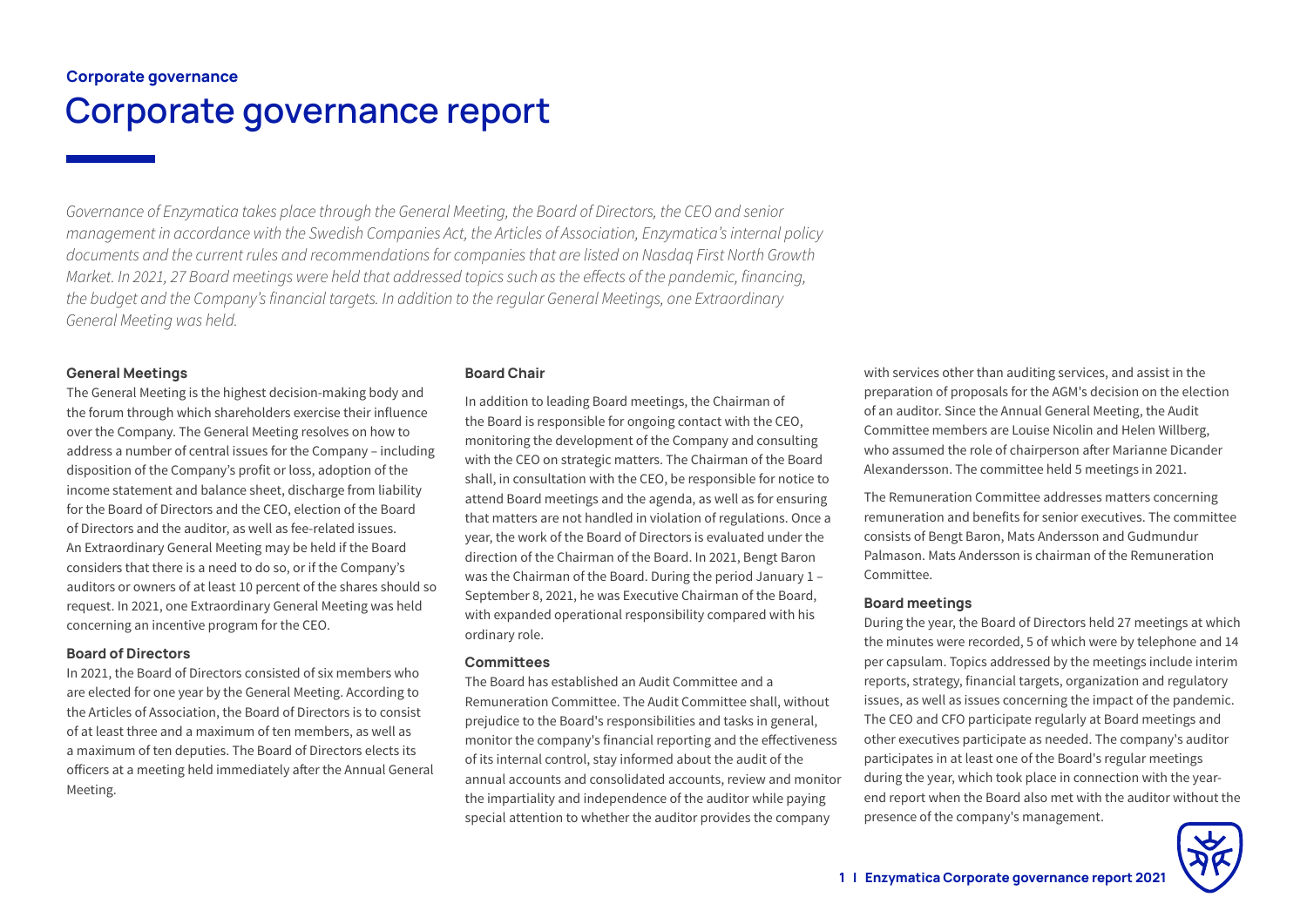# Corporate governance Corporate governance report

*Governance of Enzymatica takes place through the General Meeting, the Board of Directors, the CEO and senior management in accordance with the Swedish Companies Act, the Articles of Association, Enzymatica's internal policy documents and the current rules and recommendations for companies that are listed on Nasdaq First North Growth Market. In 2021, 27 Board meetings were held that addressed topics such as the effects of the pandemic, financing, the budget and the Company's financial targets. In addition to the regular General Meetings, one Extraordinary General Meeting was held.*

# General Meetings

The General Meeting is the highest decision-making body and the forum through which shareholders exercise their influence over the Company. The General Meeting resolves on how to address a number of central issues for the Company – including disposition of the Company's profit or loss, adoption of the income statement and balance sheet, discharge from liability for the Board of Directors and the CEO, election of the Board of Directors and the auditor, as well as fee-related issues. An Extraordinary General Meeting may be held if the Board considers that there is a need to do so, or if the Company's auditors or owners of at least 10 percent of the shares should so request. In 2021, one Extraordinary General Meeting was held concerning an incentive program for the CEO.

#### Board of Directors

In 2021, the Board of Directors consisted of six members who are elected for one year by the General Meeting. According to the Articles of Association, the Board of Directors is to consist of at least three and a maximum of ten members, as well as a maximum of ten deputies. The Board of Directors elects its officers at a meeting held immediately after the Annual General Meeting.

# Board Chair

In addition to leading Board meetings, the Chairman of the Board is responsible for ongoing contact with the CEO, monitoring the development of the Company and consulting with the CEO on strategic matters. The Chairman of the Board shall, in consultation with the CEO, be responsible for notice to attend Board meetings and the agenda, as well as for ensuring that matters are not handled in violation of regulations. Once a year, the work of the Board of Directors is evaluated under the direction of the Chairman of the Board. In 2021, Bengt Baron was the Chairman of the Board. During the period January 1 – September 8, 2021, he was Executive Chairman of the Board, with expanded operational responsibility compared with his ordinary role.

#### **Committees**

The Board has established an Audit Committee and a Remuneration Committee. The Audit Committee shall, without prejudice to the Board's responsibilities and tasks in general, monitor the company's financial reporting and the effectiveness of its internal control, stay informed about the audit of the annual accounts and consolidated accounts, review and monitor the impartiality and independence of the auditor while paying special attention to whether the auditor provides the company

with services other than auditing services, and assist in the preparation of proposals for the AGM's decision on the election of an auditor. Since the Annual General Meeting, the Audit Committee members are Louise Nicolin and Helen Willberg, who assumed the role of chairperson after Marianne Dicander Alexandersson. The committee held 5 meetings in 2021.

The Remuneration Committee addresses matters concerning remuneration and benefits for senior executives. The committee consists of Bengt Baron, Mats Andersson and Gudmundur Palmason. Mats Andersson is chairman of the Remuneration Committee.

#### Board meetings

During the year, the Board of Directors held 27 meetings at which the minutes were recorded, 5 of which were by telephone and 14 per capsulam. Topics addressed by the meetings include interim reports, strategy, financial targets, organization and regulatory issues, as well as issues concerning the impact of the pandemic. The CEO and CFO participate regularly at Board meetings and other executives participate as needed. The company's auditor participates in at least one of the Board's regular meetings during the year, which took place in connection with the yearend report when the Board also met with the auditor without the presence of the company's management.